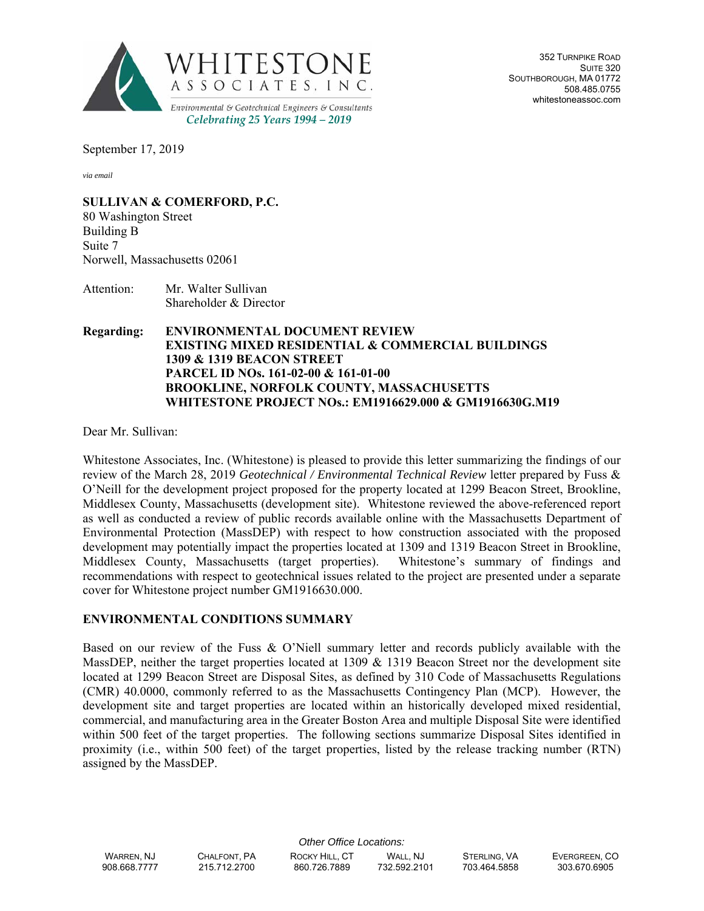

352 TURNPIKE ROAD SUITE 320 SOUTHBOROUGH, MA 01772 508.485.0755 whitestoneassoc.com

September 17, 2019

*via email*

**SULLIVAN & COMERFORD, P.C.**

80 Washington Street Building B Suite 7 Norwell, Massachusetts 02061

Attention: Mr. Walter Sullivan Shareholder & Director

### **Regarding: ENVIRONMENTAL DOCUMENT REVIEW EXISTING MIXED RESIDENTIAL & COMMERCIAL BUILDINGS 1309 & 1319 BEACON STREET PARCEL ID NOs. 161-02-00 & 161-01-00 BROOKLINE, NORFOLK COUNTY, MASSACHUSETTS WHITESTONE PROJECT NOs.: EM1916629.000 & GM1916630G.M19**

Dear Mr. Sullivan:

Whitestone Associates, Inc. (Whitestone) is pleased to provide this letter summarizing the findings of our review of the March 28, 2019 *Geotechnical / Environmental Technical Review* letter prepared by Fuss & O'Neill for the development project proposed for the property located at 1299 Beacon Street, Brookline, Middlesex County, Massachusetts (development site). Whitestone reviewed the above-referenced report as well as conducted a review of public records available online with the Massachusetts Department of Environmental Protection (MassDEP) with respect to how construction associated with the proposed development may potentially impact the properties located at 1309 and 1319 Beacon Street in Brookline, Middlesex County, Massachusetts (target properties). Whitestone's summary of findings and recommendations with respect to geotechnical issues related to the project are presented under a separate cover for Whitestone project number GM1916630.000.

## **ENVIRONMENTAL CONDITIONS SUMMARY**

Based on our review of the Fuss & O'Niell summary letter and records publicly available with the MassDEP, neither the target properties located at 1309 & 1319 Beacon Street nor the development site located at 1299 Beacon Street are Disposal Sites, as defined by 310 Code of Massachusetts Regulations (CMR) 40.0000, commonly referred to as the Massachusetts Contingency Plan (MCP). However, the development site and target properties are located within an historically developed mixed residential, commercial, and manufacturing area in the Greater Boston Area and multiple Disposal Site were identified within 500 feet of the target properties. The following sections summarize Disposal Sites identified in proximity (i.e., within 500 feet) of the target properties, listed by the release tracking number (RTN) assigned by the MassDEP.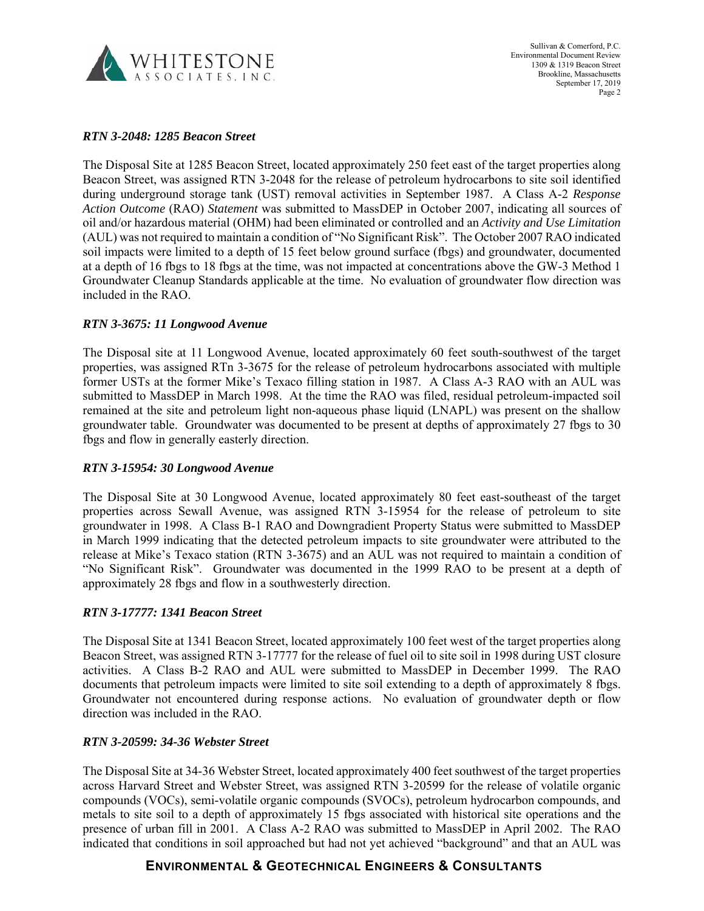

Sullivan & Comerford, P.C. Environmental Document Review 1309 & 1319 Beacon Street Brookline, Massachusetts September 17, 2019 Page 2

### *RTN 3-2048: 1285 Beacon Street*

The Disposal Site at 1285 Beacon Street, located approximately 250 feet east of the target properties along Beacon Street, was assigned RTN 3-2048 for the release of petroleum hydrocarbons to site soil identified during underground storage tank (UST) removal activities in September 1987. A Class A-2 *Response Action Outcome* (RAO) *Statement* was submitted to MassDEP in October 2007, indicating all sources of oil and/or hazardous material (OHM) had been eliminated or controlled and an *Activity and Use Limitation*  (AUL) was not required to maintain a condition of "No Significant Risk". The October 2007 RAO indicated soil impacts were limited to a depth of 15 feet below ground surface (fbgs) and groundwater, documented at a depth of 16 fbgs to 18 fbgs at the time, was not impacted at concentrations above the GW-3 Method 1 Groundwater Cleanup Standards applicable at the time. No evaluation of groundwater flow direction was included in the RAO.

### *RTN 3-3675: 11 Longwood Avenue*

The Disposal site at 11 Longwood Avenue, located approximately 60 feet south-southwest of the target properties, was assigned RTn 3-3675 for the release of petroleum hydrocarbons associated with multiple former USTs at the former Mike's Texaco filling station in 1987. A Class A-3 RAO with an AUL was submitted to MassDEP in March 1998. At the time the RAO was filed, residual petroleum-impacted soil remained at the site and petroleum light non-aqueous phase liquid (LNAPL) was present on the shallow groundwater table. Groundwater was documented to be present at depths of approximately 27 fbgs to 30 fbgs and flow in generally easterly direction.

### *RTN 3-15954: 30 Longwood Avenue*

The Disposal Site at 30 Longwood Avenue, located approximately 80 feet east-southeast of the target properties across Sewall Avenue, was assigned RTN 3-15954 for the release of petroleum to site groundwater in 1998. A Class B-1 RAO and Downgradient Property Status were submitted to MassDEP in March 1999 indicating that the detected petroleum impacts to site groundwater were attributed to the release at Mike's Texaco station (RTN 3-3675) and an AUL was not required to maintain a condition of "No Significant Risk". Groundwater was documented in the 1999 RAO to be present at a depth of approximately 28 fbgs and flow in a southwesterly direction.

#### *RTN 3-17777: 1341 Beacon Street*

The Disposal Site at 1341 Beacon Street, located approximately 100 feet west of the target properties along Beacon Street, was assigned RTN 3-17777 for the release of fuel oil to site soil in 1998 during UST closure activities. A Class B-2 RAO and AUL were submitted to MassDEP in December 1999. The RAO documents that petroleum impacts were limited to site soil extending to a depth of approximately 8 fbgs. Groundwater not encountered during response actions. No evaluation of groundwater depth or flow direction was included in the RAO.

### *RTN 3-20599: 34-36 Webster Street*

The Disposal Site at 34-36 Webster Street, located approximately 400 feet southwest of the target properties across Harvard Street and Webster Street, was assigned RTN 3-20599 for the release of volatile organic compounds (VOCs), semi-volatile organic compounds (SVOCs), petroleum hydrocarbon compounds, and metals to site soil to a depth of approximately 15 fbgs associated with historical site operations and the presence of urban fill in 2001. A Class A-2 RAO was submitted to MassDEP in April 2002. The RAO indicated that conditions in soil approached but had not yet achieved "background" and that an AUL was

## **ENVIRONMENTAL & GEOTECHNICAL ENGINEERS & CONSULTANTS**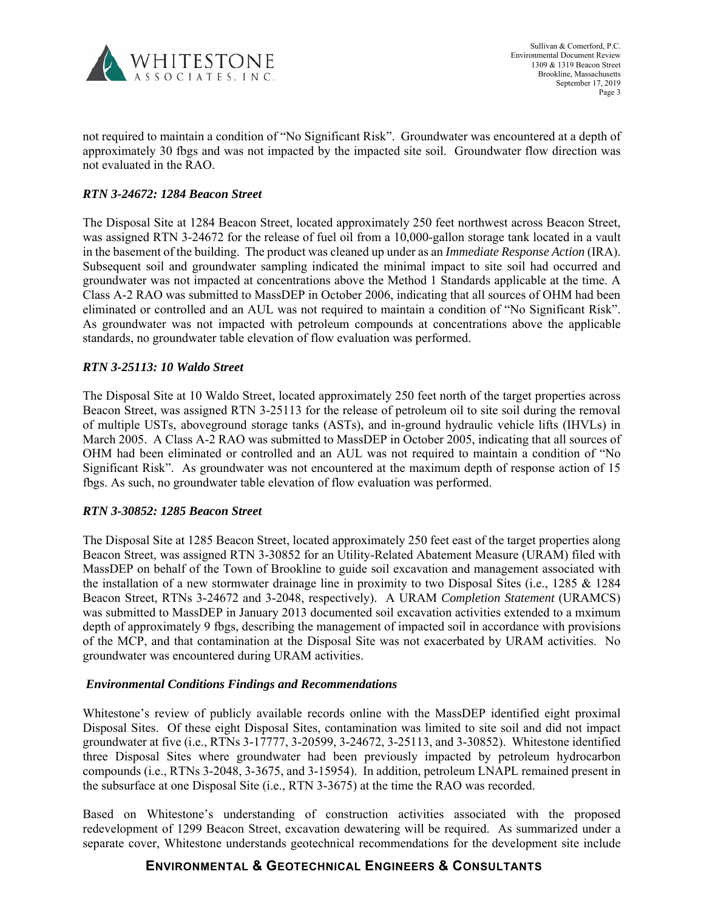

not required to maintain a condition of "No Significant Risk". Groundwater was encountered at a depth of approximately 30 fbgs and was not impacted by the impacted site soil. Groundwater flow direction was not evaluated in the RAO.

### *RTN 3-24672: 1284 Beacon Street*

The Disposal Site at 1284 Beacon Street, located approximately 250 feet northwest across Beacon Street, was assigned RTN 3-24672 for the release of fuel oil from a 10,000-gallon storage tank located in a vault in the basement of the building. The product was cleaned up under as an *Immediate Response Action* (IRA). Subsequent soil and groundwater sampling indicated the minimal impact to site soil had occurred and groundwater was not impacted at concentrations above the Method 1 Standards applicable at the time. A Class A-2 RAO was submitted to MassDEP in October 2006, indicating that all sources of OHM had been eliminated or controlled and an AUL was not required to maintain a condition of "No Significant Risk". As groundwater was not impacted with petroleum compounds at concentrations above the applicable standards, no groundwater table elevation of flow evaluation was performed.

## *RTN 3-25113: 10 Waldo Street*

The Disposal Site at 10 Waldo Street, located approximately 250 feet north of the target properties across Beacon Street, was assigned RTN 3-25113 for the release of petroleum oil to site soil during the removal of multiple USTs, aboveground storage tanks (ASTs), and in-ground hydraulic vehicle lifts (IHVLs) in March 2005. A Class A-2 RAO was submitted to MassDEP in October 2005, indicating that all sources of OHM had been eliminated or controlled and an AUL was not required to maintain a condition of "No Significant Risk". As groundwater was not encountered at the maximum depth of response action of 15 fbgs. As such, no groundwater table elevation of flow evaluation was performed.

### *RTN 3-30852: 1285 Beacon Street*

The Disposal Site at 1285 Beacon Street, located approximately 250 feet east of the target properties along Beacon Street, was assigned RTN 3-30852 for an Utility-Related Abatement Measure (URAM) filed with MassDEP on behalf of the Town of Brookline to guide soil excavation and management associated with the installation of a new stormwater drainage line in proximity to two Disposal Sites (i.e., 1285 & 1284 Beacon Street, RTNs 3-24672 and 3-2048, respectively). A URAM *Completion Statement* (URAMCS) was submitted to MassDEP in January 2013 documented soil excavation activities extended to a mximum depth of approximately 9 fbgs, describing the management of impacted soil in accordance with provisions of the MCP, and that contamination at the Disposal Site was not exacerbated by URAM activities. No groundwater was encountered during URAM activities.

### *Environmental Conditions Findings and Recommendations*

Whitestone's review of publicly available records online with the MassDEP identified eight proximal Disposal Sites. Of these eight Disposal Sites, contamination was limited to site soil and did not impact groundwater at five (i.e., RTNs 3-17777, 3-20599, 3-24672, 3-25113, and 3-30852). Whitestone identified three Disposal Sites where groundwater had been previously impacted by petroleum hydrocarbon compounds (i.e., RTNs 3-2048, 3-3675, and 3-15954). In addition, petroleum LNAPL remained present in the subsurface at one Disposal Site (i.e., RTN 3-3675) at the time the RAO was recorded.

Based on Whitestone's understanding of construction activities associated with the proposed redevelopment of 1299 Beacon Street, excavation dewatering will be required. As summarized under a separate cover, Whitestone understands geotechnical recommendations for the development site include

# **ENVIRONMENTAL & GEOTECHNICAL ENGINEERS & CONSULTANTS**